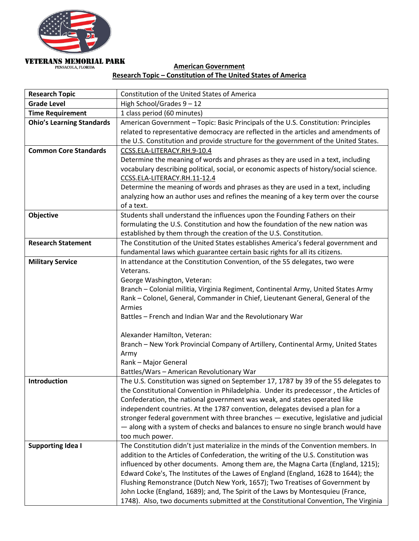

# **VETERANS MEMORIAL PARK** PENSACOLA, FLORIDA

## **American Government Research Topic – Constitution of The United States of America**

| <b>Research Topic</b>            | Constitution of the United States of America                                            |
|----------------------------------|-----------------------------------------------------------------------------------------|
| <b>Grade Level</b>               | High School/Grades 9 - 12                                                               |
| <b>Time Requirement</b>          | 1 class period (60 minutes)                                                             |
| <b>Ohio's Learning Standards</b> | American Government - Topic: Basic Principals of the U.S. Constitution: Principles      |
|                                  | related to representative democracy are reflected in the articles and amendments of     |
|                                  | the U.S. Constitution and provide structure for the government of the United States.    |
| <b>Common Core Standards</b>     | CCSS.ELA-LITERACY.RH.9-10.4                                                             |
|                                  | Determine the meaning of words and phrases as they are used in a text, including        |
|                                  | vocabulary describing political, social, or economic aspects of history/social science. |
|                                  | CCSS.ELA-LITERACY.RH.11-12.4                                                            |
|                                  | Determine the meaning of words and phrases as they are used in a text, including        |
|                                  | analyzing how an author uses and refines the meaning of a key term over the course      |
|                                  | of a text.                                                                              |
| <b>Objective</b>                 | Students shall understand the influences upon the Founding Fathers on their             |
|                                  | formulating the U.S. Constitution and how the foundation of the new nation was          |
|                                  | established by them through the creation of the U.S. Constitution.                      |
| <b>Research Statement</b>        | The Constitution of the United States establishes America's federal government and      |
|                                  | fundamental laws which guarantee certain basic rights for all its citizens.             |
| <b>Military Service</b>          | In attendance at the Constitution Convention, of the 55 delegates, two were             |
|                                  | Veterans.                                                                               |
|                                  | George Washington, Veteran:                                                             |
|                                  | Branch - Colonial militia, Virginia Regiment, Continental Army, United States Army      |
|                                  | Rank - Colonel, General, Commander in Chief, Lieutenant General, General of the         |
|                                  | Armies                                                                                  |
|                                  | Battles - French and Indian War and the Revolutionary War                               |
|                                  | Alexander Hamilton, Veteran:                                                            |
|                                  | Branch - New York Provincial Company of Artillery, Continental Army, United States      |
|                                  | Army                                                                                    |
|                                  | Rank - Major General                                                                    |
|                                  | Battles/Wars - American Revolutionary War                                               |
| Introduction                     | The U.S. Constitution was signed on September 17, 1787 by 39 of the 55 delegates to     |
|                                  | the Constitutional Convention in Philadelphia. Under its predecessor, the Articles of   |
|                                  | Confederation, the national government was weak, and states operated like               |
|                                  | independent countries. At the 1787 convention, delegates devised a plan for a           |
|                                  | stronger federal government with three branches - executive, legislative and judicial   |
|                                  | - along with a system of checks and balances to ensure no single branch would have      |
|                                  | too much power.                                                                         |
| <b>Supporting Idea I</b>         | The Constitution didn't just materialize in the minds of the Convention members. In     |
|                                  | addition to the Articles of Confederation, the writing of the U.S. Constitution was     |
|                                  | influenced by other documents. Among them are, the Magna Carta (England, 1215);         |
|                                  | Edward Coke's, The Institutes of the Lawes of England (England, 1628 to 1644); the      |
|                                  | Flushing Remonstrance (Dutch New York, 1657); Two Treatises of Government by            |
|                                  | John Locke (England, 1689); and, The Spirit of the Laws by Montesquieu (France,         |
|                                  | 1748). Also, two documents submitted at the Constitutional Convention, The Virginia     |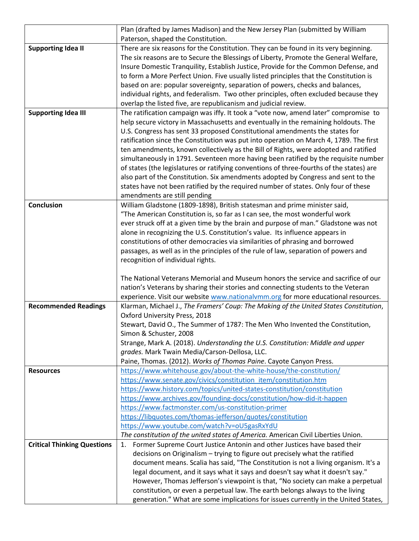|                                    | Plan (drafted by James Madison) and the New Jersey Plan (submitted by William            |
|------------------------------------|------------------------------------------------------------------------------------------|
|                                    | Paterson, shaped the Constitution.                                                       |
| <b>Supporting Idea II</b>          | There are six reasons for the Constitution. They can be found in its very beginning.     |
|                                    | The six reasons are to Secure the Blessings of Liberty, Promote the General Welfare,     |
|                                    | Insure Domestic Tranquility, Establish Justice, Provide for the Common Defense, and      |
|                                    | to form a More Perfect Union. Five usually listed principles that the Constitution is    |
|                                    | based on are: popular sovereignty, separation of powers, checks and balances,            |
|                                    | individual rights, and federalism. Two other principles, often excluded because they     |
|                                    | overlap the listed five, are republicanism and judicial review.                          |
| <b>Supporting Idea III</b>         | The ratification campaign was iffy. It took a "vote now, amend later" compromise to      |
|                                    | help secure victory in Massachusetts and eventually in the remaining holdouts. The       |
|                                    | U.S. Congress has sent 33 proposed Constitutional amendments the states for              |
|                                    | ratification since the Constitution was put into operation on March 4, 1789. The first   |
|                                    | ten amendments, known collectively as the Bill of Rights, were adopted and ratified      |
|                                    | simultaneously in 1791. Seventeen more having been ratified by the requisite number      |
|                                    | of states (the legislatures or ratifying conventions of three-fourths of the states) are |
|                                    | also part of the Constitution. Six amendments adopted by Congress and sent to the        |
|                                    | states have not been ratified by the required number of states. Only four of these       |
|                                    | amendments are still pending                                                             |
| <b>Conclusion</b>                  | William Gladstone (1809-1898), British statesman and prime minister said,                |
|                                    | "The American Constitution is, so far as I can see, the most wonderful work              |
|                                    | ever struck off at a given time by the brain and purpose of man." Gladstone was not      |
|                                    | alone in recognizing the U.S. Constitution's value. Its influence appears in             |
|                                    | constitutions of other democracies via similarities of phrasing and borrowed             |
|                                    | passages, as well as in the principles of the rule of law, separation of powers and      |
|                                    | recognition of individual rights.                                                        |
|                                    |                                                                                          |
|                                    | The National Veterans Memorial and Museum honors the service and sacrifice of our        |
|                                    | nation's Veterans by sharing their stories and connecting students to the Veteran        |
|                                    | experience. Visit our website www.nationalymm.org for more educational resources.        |
| <b>Recommended Readings</b>        | Klarman, Michael J., The Framers' Coup: The Making of the United States Constitution,    |
|                                    | Oxford University Press, 2018                                                            |
|                                    | Stewart, David O., The Summer of 1787: The Men Who Invented the Constitution,            |
|                                    | Simon & Schuster, 2008                                                                   |
|                                    | Strange, Mark A. (2018). Understanding the U.S. Constitution: Middle and upper           |
|                                    | grades. Mark Twain Media/Carson-Dellosa, LLC.                                            |
|                                    | Paine, Thomas. (2012). Works of Thomas Paine. Cayote Canyon Press.                       |
| <b>Resources</b>                   | https://www.whitehouse.gov/about-the-white-house/the-constitution/                       |
|                                    | https://www.senate.gov/civics/constitution_item/constitution.htm                         |
|                                    | https://www.history.com/topics/united-states-constitution/constitution                   |
|                                    | https://www.archives.gov/founding-docs/constitution/how-did-it-happen                    |
|                                    | https://www.factmonster.com/us-constitution-primer                                       |
|                                    | https://libquotes.com/thomas-jefferson/quotes/constitution                               |
|                                    | https://www.youtube.com/watch?v=oU5gasRxYdU                                              |
|                                    | The constitution of the united states of America. American Civil Liberties Union.        |
| <b>Critical Thinking Questions</b> | Former Supreme Court Justice Antonin and other Justices have based their<br>1.           |
|                                    | decisions on Originalism - trying to figure out precisely what the ratified              |
|                                    | document means. Scalia has said, "The Constitution is not a living organism. It's a      |
|                                    | legal document, and it says what it says and doesn't say what it doesn't say."           |
|                                    | However, Thomas Jefferson's viewpoint is that, "No society can make a perpetual          |
|                                    | constitution, or even a perpetual law. The earth belongs always to the living            |
|                                    | generation." What are some implications for issues currently in the United States,       |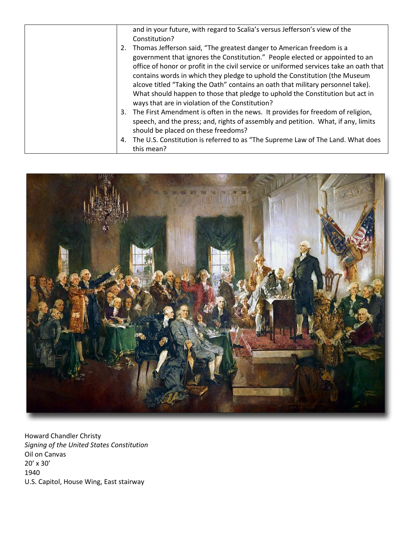|    | and in your future, with regard to Scalia's versus Jefferson's view of the                                                                                                                                                                                                                                                                                                                                                                                                                                                                          |
|----|-----------------------------------------------------------------------------------------------------------------------------------------------------------------------------------------------------------------------------------------------------------------------------------------------------------------------------------------------------------------------------------------------------------------------------------------------------------------------------------------------------------------------------------------------------|
|    | Constitution?                                                                                                                                                                                                                                                                                                                                                                                                                                                                                                                                       |
| 2. | Thomas Jefferson said, "The greatest danger to American freedom is a<br>government that ignores the Constitution." People elected or appointed to an<br>office of honor or profit in the civil service or uniformed services take an oath that<br>contains words in which they pledge to uphold the Constitution (the Museum<br>alcove titled "Taking the Oath" contains an oath that military personnel take).<br>What should happen to those that pledge to uphold the Constitution but act in<br>ways that are in violation of the Constitution? |
| 3. | The First Amendment is often in the news. It provides for freedom of religion,<br>speech, and the press; and, rights of assembly and petition. What, if any, limits<br>should be placed on these freedoms?                                                                                                                                                                                                                                                                                                                                          |
| 4. | The U.S. Constitution is referred to as "The Supreme Law of The Land. What does<br>this mean?                                                                                                                                                                                                                                                                                                                                                                                                                                                       |



Howard Chandler Christy *Signing of the United States Constitution* Oil on Canvas 20' x 30' 1940 U.S. Capitol, House Wing, East stairway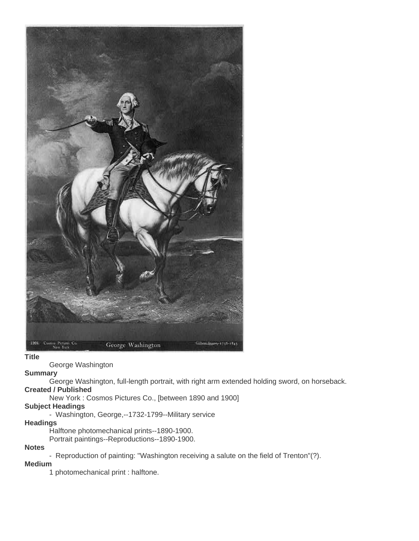

### **Title**

George Washington

## **Summary**

George Washington, full-length portrait, with right arm extended holding sword, on horseback.

### **Created / Published**

New York : Cosmos Pictures Co., [between 1890 and 1900]

### **Subject Headings**

- Washington, George,--1732-1799--Military service

## **Headings**

Halftone photomechanical prints--1890-1900.

Portrait paintings--Reproductions--1890-1900.

# **Notes**

- Reproduction of painting: "Washington receiving a salute on the field of Trenton"(?).

## **Medium**

1 photomechanical print : halftone.